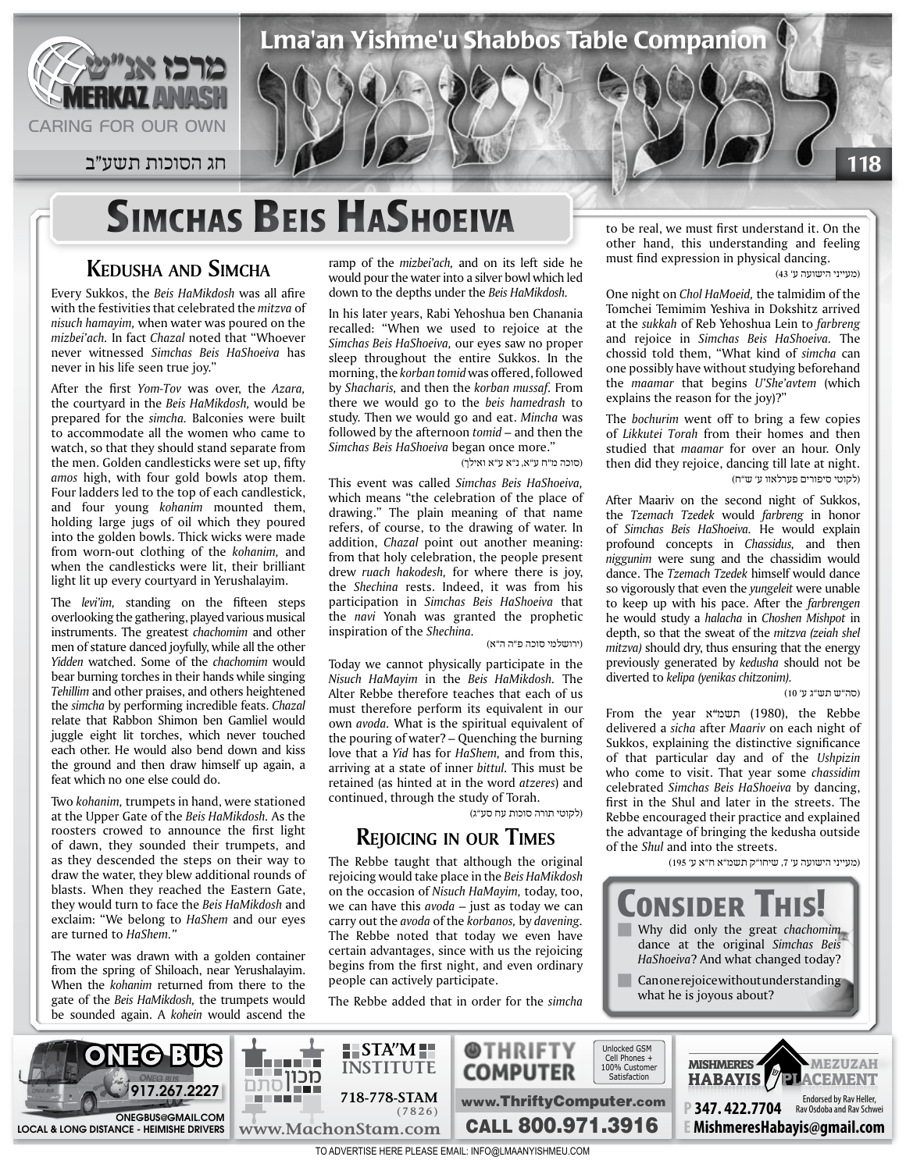

ר הסוכות תשע״ב מאוד הסוכות תשע״ב משע״ב משע״ב משע"ב  $\sim$  118

# **SIMCHAS BEIS HASHOEIVA**

### **Simcha and Kedusha**

Every Sukkos, the Beis HaMikdosh was all afire with the festivities that celebrated the *mitzva* of nisuch hamayim, when water was poured on the mizbei'ach. In fact Chazal noted that "Whoever never witnessed Simchas Beis HaShoeiva has never in his life seen true joy.'

After the first Yom-Tov was over, the Azara, the courtyard in the Beis HaMikdosh, would be prepared for the *simcha*. Balconies were built to accommodate all the women who came to watch, so that they should stand separate from the men. Golden candlesticks were set up, fifty amos high, with four gold bowls atop them. Four ladders led to the top of each candlestick, and four young *kohanim* mounted them, holding large jugs of oil which they poured into the golden bowls. Thick wicks were made from worn-out clothing of the kohanim, and when the candlesticks were lit, their brilliant light lit up every courtyard in Yerushalayim.

The levi'im, standing on the fifteen steps overlooking the gathering, played various musical instruments. The greatest *chachomim* and other men of stature danced joyfully, while all the other *Yidden* watched. Some of the *chachomim* would bear burning torches in their hands while singing Tehillim and other praises, and others heightened the *simcha* by performing incredible feats. *Chazal* relate that Rabbon Shimon ben Gamliel would juggle eight lit torches, which never touched each other. He would also bend down and kiss the ground and then draw himself up again, a feat which no one else could do.

Two kohanim, trumpets in hand, were stationed at the Upper Gate of the *Beis HaMikdosh*. As the roosters crowed to announce the first light of dawn, they sounded their trumpets, and as they descended the steps on their way to draw the water, they blew additional rounds of blasts. When they reached the Eastern Gate, they would turn to face the Beis HaMikdosh and exclaim: "We belong to HaShem and our eyes are turned to HaShem."

The water was drawn with a golden container from the spring of Shiloach, near Yerushalayim. When the kohanim returned from there to the gate of the *Beis HaMikdosh*, the trumpets would be sounded again. A kohein would ascend the ramp of the *mizbei'ach*, and on its left side he would pour the water into a silver bowl which led down to the depths under the Beis HaMikdosh.

In his later years, Rabi Yehoshua ben Chanania recalled: "When we used to rejoice at the Simchas Beis HaShoeiva, our eyes saw no proper sleep throughout the entire Sukkos. In the morning, the *korban tomid* was offered, followed by *Shacharis*, and then the *korban mussaf*. From there we would go to the beis hamedrash to study. Then we would go and eat. Mincha was followed by the afternoon tomid – and then the Simchas Beis HaShoeiva began once more."

#### )סוכה מ"ח ע"א, נ"א ע"א ואילך(

This event was called Simchas Beis HaShoeiva, which means "the celebration of the place of drawing." The plain meaning of that name refers, of course, to the drawing of water. In addition, *Chazal* point out another meaning: from that holy celebration, the people present drew *ruach hakodesh*, for where there is joy, the *Shechina* rests. Indeed, it was from his participation in Simchas Beis HaShoeiva that the *navi* Yonah was granted the prophetic inspiration of the Shechina.

#### )ירושלמי סוכה פ"ה ה"א(

Today we cannot physically participate in the Nisuch HaMayim in the *Beis HaMikdosh*. The Alter Rebbe therefore teaches that each of us must therefore perform its equivalent in our own avoda. What is the spiritual equivalent of the pouring of water? – Quenching the burning love that a *Yid* has for *HaShem*, and from this, arriving at a state of inner *bittul*. This must be retained (as hinted at in the word *atzeres*) and continued, through the study of Torah.

)לקוטי תורה סוכות עח סע"ג(

#### **REJOICING IN OUR TIMES**

The Rebbe taught that although the original rejoicing would take place in the Beis HaMikdosh on the occasion of Nisuch HaMayim, today, too, we can have this *avoda* – just as today we can carry out the *avoda* of the *korbanos*, by *davening*. The Rebbe noted that today we even have certain advantages, since with us the rejoicing begins from the first night, and even ordinary people can actively participate.

The Rebbe added that in order for the simcha

to be real, we must first understand it. On the other hand, this understanding and feeling must find expression in physical dancing.

)מעייני הישועה ע' 43(

One night on *Chol HaMoeid*, the talmidim of the Tomchei Temimim Yeshiva in Dokshitz arrived at the *sukkah* of Reb Yehoshua Lein to *farbreng* and rejoice in *Simchas Beis HaShoeiva*. The chossid told them, "What kind of simcha can one possibly have without studying beforehand the *maamar* that begins *U'She'avtem* (which explains the reason for the joy)?"

The bochurim went off to bring a few copies of *Likkutei Torah* from their homes and then studied that *maamar* for over an hour. Only then did they rejoice, dancing till late at night. )לקוטי סיפורים פערלאוו ע' ש"ח(

After Maariv on the second night of Sukkos, the *Tzemach Tzedek* would *farbreng* in honor of Simchas Beis HaShoeiva. He would explain profound concepts in *Chassidus*, and then niggunim were sung and the chassidim would dance. The *Tzemach Tzedek* himself would dance so vigorously that even the *yungeleit* were unable to keep up with his pace. After the farbrengen he would study a *halacha* in *Choshen Mishpot* in depth, so that the sweat of the mitzva (zeiah shel *mitzva*) should dry, thus ensuring that the energy previously generated by kedusha should not be diverted to kelipa (yenikas chitzonim).

#### )סה"ש תש"ג ע' 10(

 Rebbe the ,)1980 (תשמ"א year the From delivered a *sicha* after *Maariv* on each night of Sukkos, explaining the distinctive significance of that particular day and of the Ushpizin who come to visit. That year some *chassidim* celebrated Simchas Beis HaShoeiva by dancing, first in the Shul and later in the streets. The Rebbe encouraged their practice and explained the advantage of bringing the kedusha outside of the *Shul* and into the streets.

(מעייני הישועה ע' 7, שיחו"ק תשמ"א ח"א ע' 195)